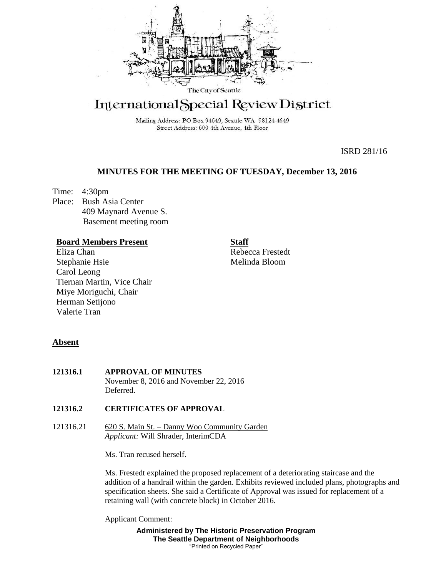

# International Special Review District

Mailing Address: PO Box 94649, Seattle WA 98124-4649 Street Address: 600 4th Avenue, 4th Floor

ISRD 281/16

# **MINUTES FOR THE MEETING OF TUESDAY, December 13, 2016**

Time: 4:30pm Place: Bush Asia Center 409 Maynard Avenue S. Basement meeting room

## **Board Members Present**

Eliza Chan Stephanie Hsie Carol Leong Tiernan Martin, Vice Chair Miye Moriguchi, Chair Herman Setijono Valerie Tran

# **Staff**

Rebecca Frestedt Melinda Bloom

## **Absent**

**121316.1 APPROVAL OF MINUTES** November 8, 2016 and November 22, 2016 **Deferred** 

## **121316.2 CERTIFICATES OF APPROVAL**

121316.21 620 S. Main St. – Danny Woo Community Garden *Applicant:* Will Shrader, InterimCDA

Ms. Tran recused herself.

Ms. Frestedt explained the proposed replacement of a deteriorating staircase and the addition of a handrail within the garden. Exhibits reviewed included plans, photographs and specification sheets. She said a Certificate of Approval was issued for replacement of a retaining wall (with concrete block) in October 2016.

Applicant Comment:

**Administered by The Historic Preservation Program The Seattle Department of Neighborhoods** "Printed on Recycled Paper"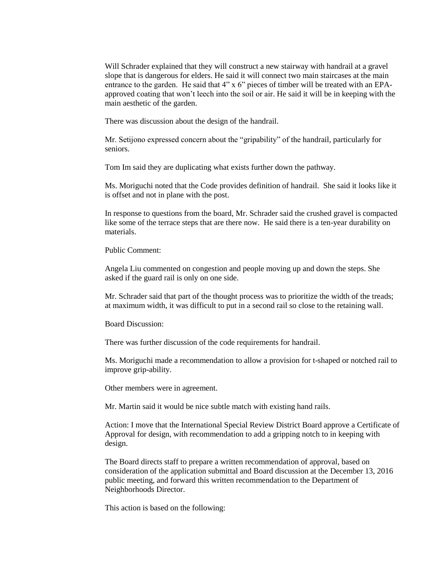Will Schrader explained that they will construct a new stairway with handrail at a gravel slope that is dangerous for elders. He said it will connect two main staircases at the main entrance to the garden. He said that 4" x 6" pieces of timber will be treated with an EPAapproved coating that won't leech into the soil or air. He said it will be in keeping with the main aesthetic of the garden.

There was discussion about the design of the handrail.

Mr. Setijono expressed concern about the "gripability" of the handrail, particularly for seniors.

Tom Im said they are duplicating what exists further down the pathway.

Ms. Moriguchi noted that the Code provides definition of handrail. She said it looks like it is offset and not in plane with the post.

In response to questions from the board, Mr. Schrader said the crushed gravel is compacted like some of the terrace steps that are there now. He said there is a ten-year durability on materials.

Public Comment:

Angela Liu commented on congestion and people moving up and down the steps. She asked if the guard rail is only on one side.

Mr. Schrader said that part of the thought process was to prioritize the width of the treads; at maximum width, it was difficult to put in a second rail so close to the retaining wall.

Board Discussion:

There was further discussion of the code requirements for handrail.

Ms. Moriguchi made a recommendation to allow a provision for t-shaped or notched rail to improve grip-ability.

Other members were in agreement.

Mr. Martin said it would be nice subtle match with existing hand rails.

Action: I move that the International Special Review District Board approve a Certificate of Approval for design, with recommendation to add a gripping notch to in keeping with design.

The Board directs staff to prepare a written recommendation of approval, based on consideration of the application submittal and Board discussion at the December 13, 2016 public meeting, and forward this written recommendation to the Department of Neighborhoods Director.

This action is based on the following: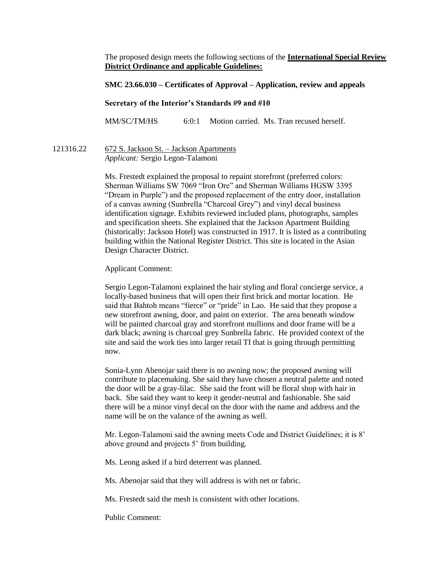The proposed design meets the following sections of the **International Special Review District Ordinance and applicable Guidelines:**

#### **SMC 23.66.030 – Certificates of Approval – Application, review and appeals**

#### **Secretary of the Interior's Standards #9 and #10**

MM/SC/TM/HS 6:0:1 Motion carried. Ms. Tran recused herself.

### 121316.22 672 S. Jackson St. – Jackson Apartments *Applicant:* Sergio Legon-Talamoni

Ms. Frestedt explained the proposal to repaint storefront (preferred colors: Sherman Williams SW 7069 "Iron Ore" and Sherman Williams HGSW 3395 "Dream in Purple") and the proposed replacement of the entry door, installation of a canvas awning (Sunbrella "Charcoal Grey") and vinyl decal business identification signage. Exhibits reviewed included plans, photographs, samples and specification sheets. She explained that the Jackson Apartment Building (historically: Jackson Hotel) was constructed in 1917. It is listed as a contributing building within the National Register District. This site is located in the Asian Design Character District.

#### Applicant Comment:

Sergio Legon-Talamoni explained the hair styling and floral concierge service, a locally-based business that will open their first brick and mortar location. He said that Bahtoh means "fierce" or "pride" in Lao. He said that they propose a new storefront awning, door, and paint on exterior. The area beneath window will be painted charcoal gray and storefront mullions and door frame will be a dark black; awning is charcoal grey Sunbrella fabric. He provided context of the site and said the work ties into larger retail TI that is going through permitting now.

Sonia-Lynn Abenojar said there is no awning now; the proposed awning will contribute to placemaking. She said they have chosen a neutral palette and noted the door will be a gray-lilac. She said the front will be floral shop with hair in back. She said they want to keep it gender-neutral and fashionable. She said there will be a minor vinyl decal on the door with the name and address and the name will be on the valance of the awning as well.

Mr. Legon-Talamoni said the awning meets Code and District Guidelines; it is 8' above ground and projects 5' from building.

Ms. Leong asked if a bird deterrent was planned.

Ms. Abenojar said that they will address is with net or fabric.

Ms. Frestedt said the mesh is consistent with other locations.

Public Comment: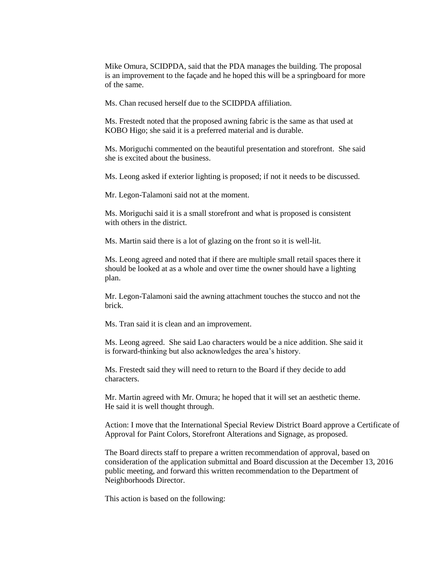Mike Omura, SCIDPDA, said that the PDA manages the building. The proposal is an improvement to the façade and he hoped this will be a springboard for more of the same.

Ms. Chan recused herself due to the SCIDPDA affiliation.

Ms. Frestedt noted that the proposed awning fabric is the same as that used at KOBO Higo; she said it is a preferred material and is durable.

Ms. Moriguchi commented on the beautiful presentation and storefront. She said she is excited about the business.

Ms. Leong asked if exterior lighting is proposed; if not it needs to be discussed.

Mr. Legon-Talamoni said not at the moment.

Ms. Moriguchi said it is a small storefront and what is proposed is consistent with others in the district.

Ms. Martin said there is a lot of glazing on the front so it is well-lit.

Ms. Leong agreed and noted that if there are multiple small retail spaces there it should be looked at as a whole and over time the owner should have a lighting plan.

Mr. Legon-Talamoni said the awning attachment touches the stucco and not the brick.

Ms. Tran said it is clean and an improvement.

Ms. Leong agreed. She said Lao characters would be a nice addition. She said it is forward-thinking but also acknowledges the area's history.

Ms. Frestedt said they will need to return to the Board if they decide to add characters.

Mr. Martin agreed with Mr. Omura; he hoped that it will set an aesthetic theme. He said it is well thought through.

Action: I move that the International Special Review District Board approve a Certificate of Approval for Paint Colors, Storefront Alterations and Signage, as proposed.

The Board directs staff to prepare a written recommendation of approval, based on consideration of the application submittal and Board discussion at the December 13, 2016 public meeting, and forward this written recommendation to the Department of Neighborhoods Director.

This action is based on the following: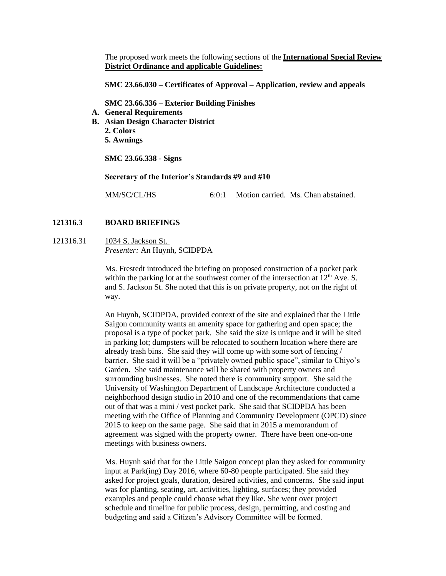The proposed work meets the following sections of the **International Special Review District Ordinance and applicable Guidelines:**

**SMC 23.66.030 – Certificates of Approval – Application, review and appeals**

**SMC 23.66.336 – Exterior Building Finishes**

- **A. General Requirements**
- **B. Asian Design Character District**
	- **2. Colors 5. Awnings**

**SMC 23.66.338 - Signs**

**Secretary of the Interior's Standards #9 and #10**

MM/SC/CL/HS 6:0:1 Motion carried. Ms. Chan abstained.

#### **121316.3 BOARD BRIEFINGS**

121316.31 1034 S. Jackson St. *Presenter:* An Huynh, SCIDPDA

> Ms. Frestedt introduced the briefing on proposed construction of a pocket park within the parking lot at the southwest corner of the intersection at  $12<sup>th</sup>$  Ave. S. and S. Jackson St. She noted that this is on private property, not on the right of way.

An Huynh, SCIDPDA, provided context of the site and explained that the Little Saigon community wants an amenity space for gathering and open space; the proposal is a type of pocket park. She said the size is unique and it will be sited in parking lot; dumpsters will be relocated to southern location where there are already trash bins. She said they will come up with some sort of fencing / barrier. She said it will be a "privately owned public space", similar to Chiyo's Garden. She said maintenance will be shared with property owners and surrounding businesses. She noted there is community support. She said the University of Washington Department of Landscape Architecture conducted a neighborhood design studio in 2010 and one of the recommendations that came out of that was a mini / vest pocket park. She said that SCIDPDA has been meeting with the Office of Planning and Community Development (OPCD) since 2015 to keep on the same page. She said that in 2015 a memorandum of agreement was signed with the property owner. There have been one-on-one meetings with business owners.

Ms. Huynh said that for the Little Saigon concept plan they asked for community input at Park(ing) Day 2016, where 60-80 people participated. She said they asked for project goals, duration, desired activities, and concerns. She said input was for planting, seating, art, activities, lighting, surfaces; they provided examples and people could choose what they like. She went over project schedule and timeline for public process, design, permitting, and costing and budgeting and said a Citizen's Advisory Committee will be formed.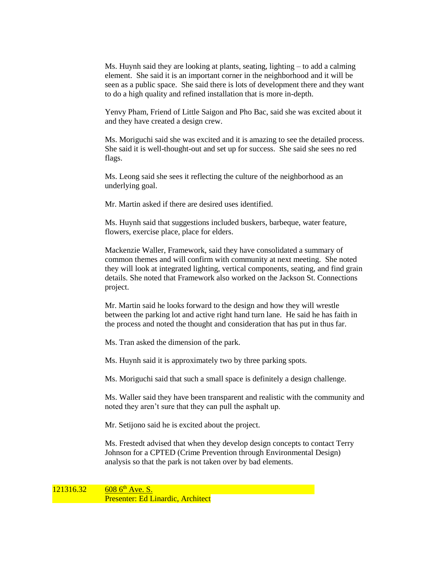Ms. Huynh said they are looking at plants, seating, lighting – to add a calming element. She said it is an important corner in the neighborhood and it will be seen as a public space. She said there is lots of development there and they want to do a high quality and refined installation that is more in-depth.

Yenvy Pham, Friend of Little Saigon and Pho Bac, said she was excited about it and they have created a design crew.

Ms. Moriguchi said she was excited and it is amazing to see the detailed process. She said it is well-thought-out and set up for success. She said she sees no red flags.

Ms. Leong said she sees it reflecting the culture of the neighborhood as an underlying goal.

Mr. Martin asked if there are desired uses identified.

Ms. Huynh said that suggestions included buskers, barbeque, water feature, flowers, exercise place, place for elders.

Mackenzie Waller, Framework, said they have consolidated a summary of common themes and will confirm with community at next meeting. She noted they will look at integrated lighting, vertical components, seating, and find grain details. She noted that Framework also worked on the Jackson St. Connections project.

Mr. Martin said he looks forward to the design and how they will wrestle between the parking lot and active right hand turn lane. He said he has faith in the process and noted the thought and consideration that has put in thus far.

Ms. Tran asked the dimension of the park.

Ms. Huynh said it is approximately two by three parking spots.

Ms. Moriguchi said that such a small space is definitely a design challenge.

Ms. Waller said they have been transparent and realistic with the community and noted they aren't sure that they can pull the asphalt up.

Mr. Setijono said he is excited about the project.

Ms. Frestedt advised that when they develop design concepts to contact Terry Johnson for a CPTED (Crime Prevention through Environmental Design) analysis so that the park is not taken over by bad elements.

 $121316.32$  608 6<sup>th</sup> Ave. S. Presenter: Ed Linardic, Architect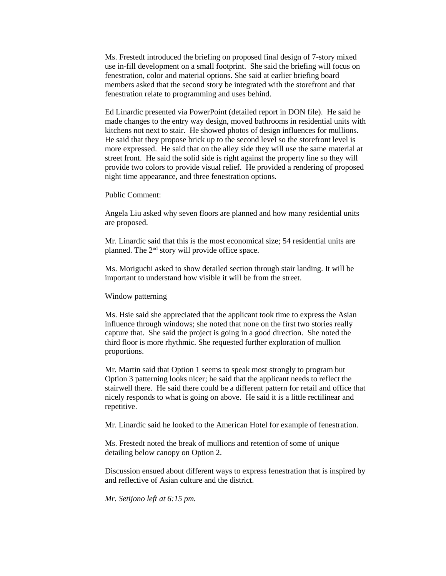Ms. Frestedt introduced the briefing on proposed final design of 7-story mixed use in-fill development on a small footprint. She said the briefing will focus on fenestration, color and material options. She said at earlier briefing board members asked that the second story be integrated with the storefront and that fenestration relate to programming and uses behind.

Ed Linardic presented via PowerPoint (detailed report in DON file). He said he made changes to the entry way design, moved bathrooms in residential units with kitchens not next to stair. He showed photos of design influences for mullions. He said that they propose brick up to the second level so the storefront level is more expressed. He said that on the alley side they will use the same material at street front. He said the solid side is right against the property line so they will provide two colors to provide visual relief. He provided a rendering of proposed night time appearance, and three fenestration options.

Public Comment:

Angela Liu asked why seven floors are planned and how many residential units are proposed.

Mr. Linardic said that this is the most economical size; 54 residential units are planned. The 2nd story will provide office space.

Ms. Moriguchi asked to show detailed section through stair landing. It will be important to understand how visible it will be from the street.

#### Window patterning

Ms. Hsie said she appreciated that the applicant took time to express the Asian influence through windows; she noted that none on the first two stories really capture that. She said the project is going in a good direction. She noted the third floor is more rhythmic. She requested further exploration of mullion proportions.

Mr. Martin said that Option 1 seems to speak most strongly to program but Option 3 patterning looks nicer; he said that the applicant needs to reflect the stairwell there. He said there could be a different pattern for retail and office that nicely responds to what is going on above. He said it is a little rectilinear and repetitive.

Mr. Linardic said he looked to the American Hotel for example of fenestration.

Ms. Frestedt noted the break of mullions and retention of some of unique detailing below canopy on Option 2.

Discussion ensued about different ways to express fenestration that is inspired by and reflective of Asian culture and the district.

*Mr. Setijono left at 6:15 pm.*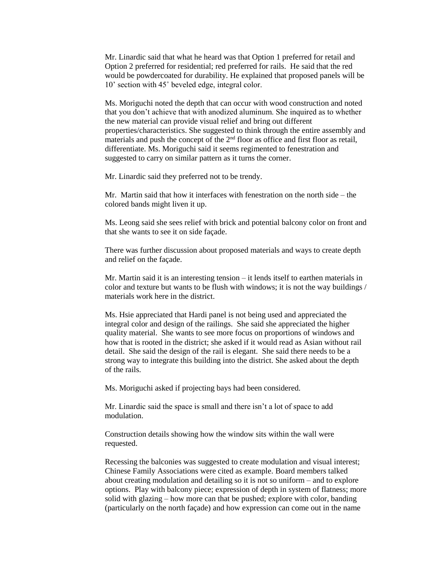Mr. Linardic said that what he heard was that Option 1 preferred for retail and Option 2 preferred for residential; red preferred for rails. He said that the red would be powdercoated for durability. He explained that proposed panels will be 10' section with 45˚ beveled edge, integral color.

Ms. Moriguchi noted the depth that can occur with wood construction and noted that you don't achieve that with anodized aluminum. She inquired as to whether the new material can provide visual relief and bring out different properties/characteristics. She suggested to think through the entire assembly and materials and push the concept of the  $2<sup>nd</sup>$  floor as office and first floor as retail, differentiate. Ms. Moriguchi said it seems regimented to fenestration and suggested to carry on similar pattern as it turns the corner.

Mr. Linardic said they preferred not to be trendy.

Mr. Martin said that how it interfaces with fenestration on the north side – the colored bands might liven it up.

Ms. Leong said she sees relief with brick and potential balcony color on front and that she wants to see it on side façade.

There was further discussion about proposed materials and ways to create depth and relief on the façade.

Mr. Martin said it is an interesting tension – it lends itself to earthen materials in color and texture but wants to be flush with windows; it is not the way buildings / materials work here in the district.

Ms. Hsie appreciated that Hardi panel is not being used and appreciated the integral color and design of the railings. She said she appreciated the higher quality material. She wants to see more focus on proportions of windows and how that is rooted in the district; she asked if it would read as Asian without rail detail. She said the design of the rail is elegant. She said there needs to be a strong way to integrate this building into the district. She asked about the depth of the rails.

Ms. Moriguchi asked if projecting bays had been considered.

Mr. Linardic said the space is small and there isn't a lot of space to add modulation.

Construction details showing how the window sits within the wall were requested.

Recessing the balconies was suggested to create modulation and visual interest; Chinese Family Associations were cited as example. Board members talked about creating modulation and detailing so it is not so uniform – and to explore options. Play with balcony piece; expression of depth in system of flatness; more solid with glazing – how more can that be pushed; explore with color, banding (particularly on the north façade) and how expression can come out in the name